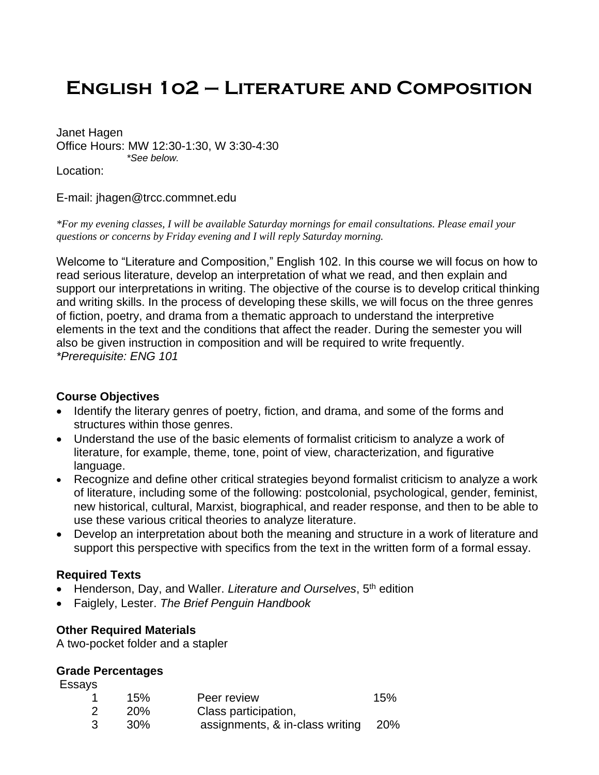# **English 1o2 – Literature and Composition**

Janet Hagen Office Hours: MW 12:30-1:30, W 3:30-4:30 *\*See below.*

Location:

E-mail: jhagen@trcc.commnet.edu

*\*For my evening classes, I will be available Saturday mornings for email consultations. Please email your questions or concerns by Friday evening and I will reply Saturday morning.*

Welcome to "Literature and Composition," English 102. In this course we will focus on how to read serious literature, develop an interpretation of what we read, and then explain and support our interpretations in writing. The objective of the course is to develop critical thinking and writing skills. In the process of developing these skills, we will focus on the three genres of fiction, poetry, and drama from a thematic approach to understand the interpretive elements in the text and the conditions that affect the reader. During the semester you will also be given instruction in composition and will be required to write frequently. *\*Prerequisite: ENG 101*

#### **Course Objectives**

- Identify the literary genres of poetry, fiction, and drama, and some of the forms and structures within those genres.
- Understand the use of the basic elements of formalist criticism to analyze a work of literature, for example, theme, tone, point of view, characterization, and figurative language.
- Recognize and define other critical strategies beyond formalist criticism to analyze a work of literature, including some of the following: postcolonial, psychological, gender, feminist, new historical, cultural, Marxist, biographical, and reader response, and then to be able to use these various critical theories to analyze literature.
- Develop an interpretation about both the meaning and structure in a work of literature and support this perspective with specifics from the text in the written form of a formal essay.

#### **Required Texts**

- Henderson, Day, and Waller. *Literature and Ourselves*, 5<sup>th</sup> edition
- Faiglely, Lester. *The Brief Penguin Handbook*

#### **Other Required Materials**

A two-pocket folder and a stapler

#### **Grade Percentages**

Essays

| 15%        | Peer review                         | 15% |
|------------|-------------------------------------|-----|
| <b>20%</b> | Class participation,                |     |
| 30%        | assignments, & in-class writing 20% |     |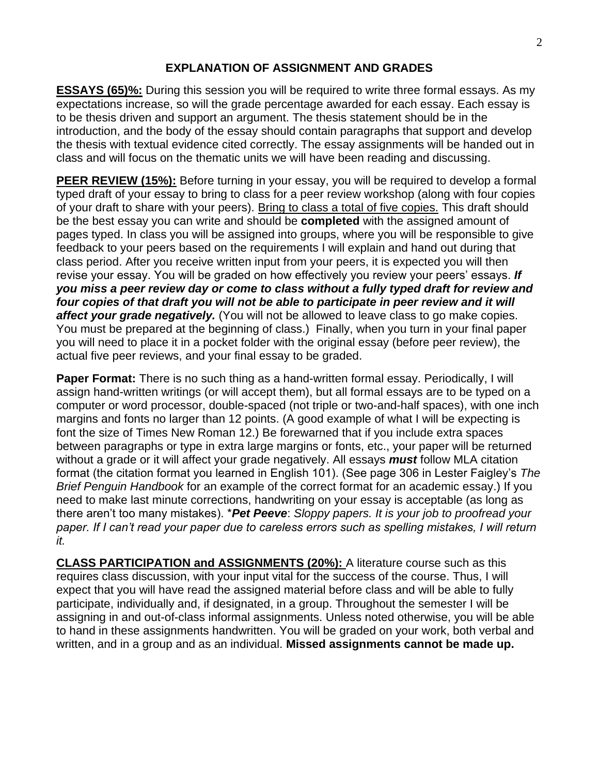#### **EXPLANATION OF ASSIGNMENT AND GRADES**

**ESSAYS (65)%:** During this session you will be required to write three formal essays. As my expectations increase, so will the grade percentage awarded for each essay. Each essay is to be thesis driven and support an argument. The thesis statement should be in the introduction, and the body of the essay should contain paragraphs that support and develop the thesis with textual evidence cited correctly. The essay assignments will be handed out in class and will focus on the thematic units we will have been reading and discussing.

**PEER REVIEW (15%):** Before turning in your essay, you will be required to develop a formal typed draft of your essay to bring to class for a peer review workshop (along with four copies of your draft to share with your peers). Bring to class a total of five copies. This draft should be the best essay you can write and should be **completed** with the assigned amount of pages typed. In class you will be assigned into groups, where you will be responsible to give feedback to your peers based on the requirements I will explain and hand out during that class period. After you receive written input from your peers, it is expected you will then revise your essay. You will be graded on how effectively you review your peers' essays. *If you miss a peer review day or come to class without a fully typed draft for review and four copies of that draft you will not be able to participate in peer review and it will affect your grade negatively.* (You will not be allowed to leave class to go make copies. You must be prepared at the beginning of class.) Finally, when you turn in your final paper you will need to place it in a pocket folder with the original essay (before peer review), the actual five peer reviews, and your final essay to be graded.

**Paper Format:** There is no such thing as a hand-written formal essay. Periodically, I will assign hand-written writings (or will accept them), but all formal essays are to be typed on a computer or word processor, double-spaced (not triple or two-and-half spaces), with one inch margins and fonts no larger than 12 points. (A good example of what I will be expecting is font the size of Times New Roman 12.) Be forewarned that if you include extra spaces between paragraphs or type in extra large margins or fonts, etc., your paper will be returned without a grade or it will affect your grade negatively. All essays *must* follow MLA citation format (the citation format you learned in English 101). (See page 306 in Lester Faigley's *The Brief Penguin Handbook* for an example of the correct format for an academic essay.) If you need to make last minute corrections, handwriting on your essay is acceptable (as long as there aren't too many mistakes). \**Pet Peeve*: *Sloppy papers. It is your job to proofread your paper. If I can't read your paper due to careless errors such as spelling mistakes, I will return it.* 

**CLASS PARTICIPATION and ASSIGNMENTS (20%):** A literature course such as this requires class discussion, with your input vital for the success of the course. Thus, I will expect that you will have read the assigned material before class and will be able to fully participate, individually and, if designated, in a group. Throughout the semester I will be assigning in and out-of-class informal assignments. Unless noted otherwise, you will be able to hand in these assignments handwritten. You will be graded on your work, both verbal and written, and in a group and as an individual. **Missed assignments cannot be made up.**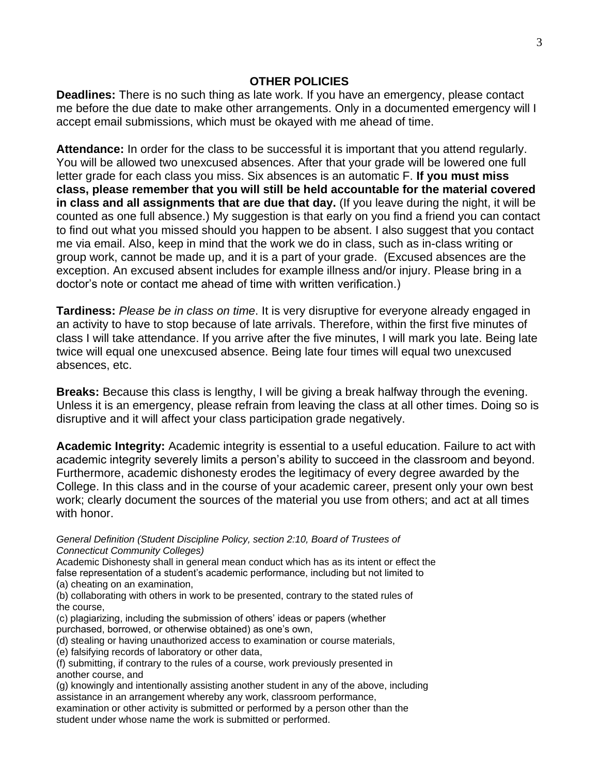#### **OTHER POLICIES**

**Deadlines:** There is no such thing as late work. If you have an emergency, please contact me before the due date to make other arrangements. Only in a documented emergency will I accept email submissions, which must be okayed with me ahead of time.

**Attendance:** In order for the class to be successful it is important that you attend regularly. You will be allowed two unexcused absences. After that your grade will be lowered one full letter grade for each class you miss. Six absences is an automatic F. **If you must miss class, please remember that you will still be held accountable for the material covered in class and all assignments that are due that day.** (If you leave during the night, it will be counted as one full absence.) My suggestion is that early on you find a friend you can contact to find out what you missed should you happen to be absent. I also suggest that you contact me via email. Also, keep in mind that the work we do in class, such as in-class writing or group work, cannot be made up, and it is a part of your grade. (Excused absences are the exception. An excused absent includes for example illness and/or injury. Please bring in a doctor's note or contact me ahead of time with written verification.)

**Tardiness:** *Please be in class on time*. It is very disruptive for everyone already engaged in an activity to have to stop because of late arrivals. Therefore, within the first five minutes of class I will take attendance. If you arrive after the five minutes, I will mark you late. Being late twice will equal one unexcused absence. Being late four times will equal two unexcused absences, etc.

**Breaks:** Because this class is lengthy, I will be giving a break halfway through the evening. Unless it is an emergency, please refrain from leaving the class at all other times. Doing so is disruptive and it will affect your class participation grade negatively.

**Academic Integrity:** Academic integrity is essential to a useful education. Failure to act with academic integrity severely limits a person's ability to succeed in the classroom and beyond. Furthermore, academic dishonesty erodes the legitimacy of every degree awarded by the College. In this class and in the course of your academic career, present only your own best work; clearly document the sources of the material you use from others; and act at all times with honor.

*General Definition (Student Discipline Policy, section 2:10, Board of Trustees of Connecticut Community Colleges)*

Academic Dishonesty shall in general mean conduct which has as its intent or effect the false representation of a student's academic performance, including but not limited to (a) cheating on an examination,

(b) collaborating with others in work to be presented, contrary to the stated rules of the course,

(c) plagiarizing, including the submission of others' ideas or papers (whether purchased, borrowed, or otherwise obtained) as one's own,

(d) stealing or having unauthorized access to examination or course materials,

(e) falsifying records of laboratory or other data,

(f) submitting, if contrary to the rules of a course, work previously presented in another course, and

(g) knowingly and intentionally assisting another student in any of the above, including assistance in an arrangement whereby any work, classroom performance,

examination or other activity is submitted or performed by a person other than the student under whose name the work is submitted or performed.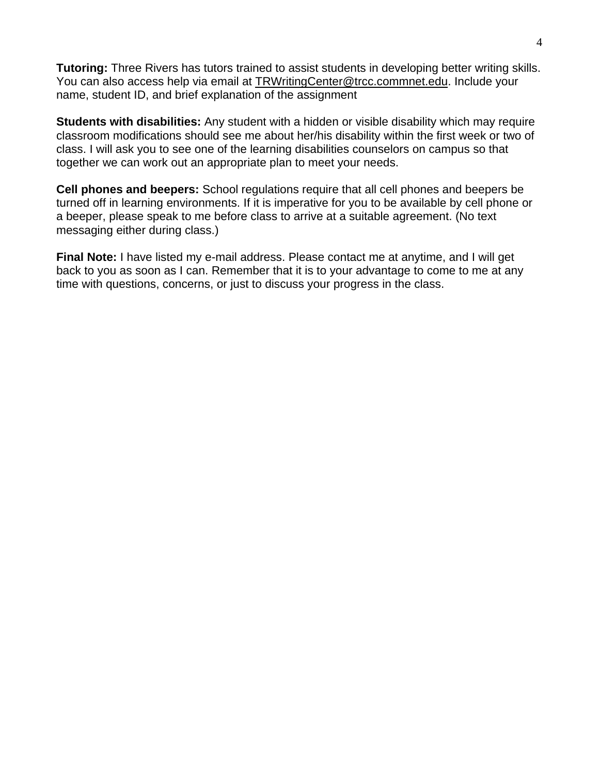**Tutoring:** Three Rivers has tutors trained to assist students in developing better writing skills. You can also access help via email at [TRWritingCenter@trcc.commnet.edu.](mailto:TRWritingCenter@trcc.commnet.edu) Include your name, student ID, and brief explanation of the assignment

**Students with disabilities:** Any student with a hidden or visible disability which may require classroom modifications should see me about her/his disability within the first week or two of class. I will ask you to see one of the learning disabilities counselors on campus so that together we can work out an appropriate plan to meet your needs.

**Cell phones and beepers:** School regulations require that all cell phones and beepers be turned off in learning environments. If it is imperative for you to be available by cell phone or a beeper, please speak to me before class to arrive at a suitable agreement. (No text messaging either during class.)

**Final Note:** I have listed my e-mail address. Please contact me at anytime, and I will get back to you as soon as I can. Remember that it is to your advantage to come to me at any time with questions, concerns, or just to discuss your progress in the class.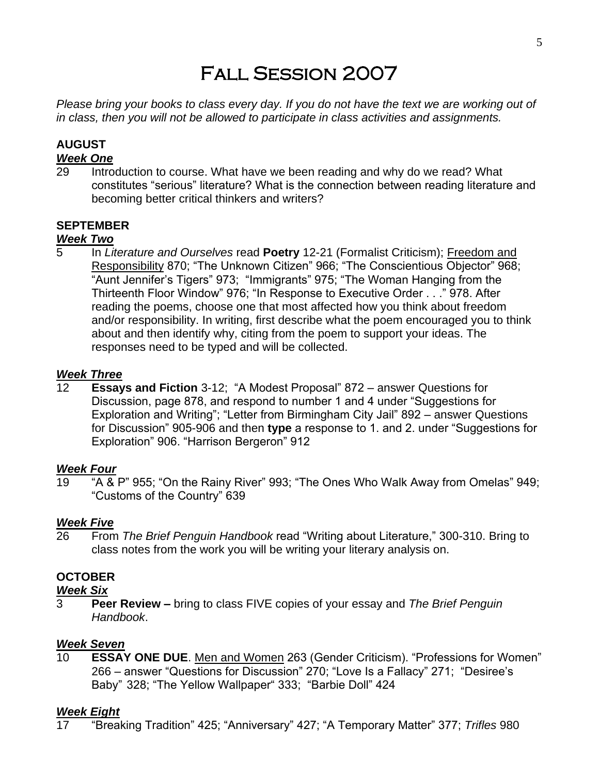# Fall Session 2007

*Please bring your books to class every day. If you do not have the text we are working out of in class, then you will not be allowed to participate in class activities and assignments.*

# **AUGUST**

# *Week One*

Introduction to course. What have we been reading and why do we read? What constitutes "serious" literature? What is the connection between reading literature and becoming better critical thinkers and writers?

### **SEPTEMBER**

#### *Week Two*

5 In *Literature and Ourselves* read **Poetry** 12-21 (Formalist Criticism); Freedom and Responsibility 870; "The Unknown Citizen" 966; "The Conscientious Objector" 968; "Aunt Jennifer's Tigers" 973; "Immigrants" 975; "The Woman Hanging from the Thirteenth Floor Window" 976; "In Response to Executive Order . . ." 978. After reading the poems, choose one that most affected how you think about freedom and/or responsibility. In writing, first describe what the poem encouraged you to think about and then identify why, citing from the poem to support your ideas. The responses need to be typed and will be collected.

### *Week Three*

12 **Essays and Fiction** 3-12; "A Modest Proposal" 872 – answer Questions for Discussion, page 878, and respond to number 1 and 4 under "Suggestions for Exploration and Writing"; "Letter from Birmingham City Jail" 892 – answer Questions for Discussion" 905-906 and then **type** a response to 1. and 2. under "Suggestions for Exploration" 906. "Harrison Bergeron" 912

#### *Week Four*

19 "A & P" 955; "On the Rainy River" 993; "The Ones Who Walk Away from Omelas" 949; "Customs of the Country" 639

#### *Week Five*

26 From *The Brief Penguin Handbook* read "Writing about Literature," 300-310. Bring to class notes from the work you will be writing your literary analysis on.

## **OCTOBER**

#### *Week Six*

3 **Peer Review –** bring to class FIVE copies of your essay and *The Brief Penguin Handbook*.

#### *Week Seven*

10 **ESSAY ONE DUE**. Men and Women 263 (Gender Criticism). "Professions for Women" 266 – answer "Questions for Discussion" 270; "Love Is a Fallacy" 271; "Desiree's Baby" 328; "The Yellow Wallpaper" 333; "Barbie Doll" 424

#### *Week Eight*

17 "Breaking Tradition" 425; "Anniversary" 427; "A Temporary Matter" 377; *Trifles* 980